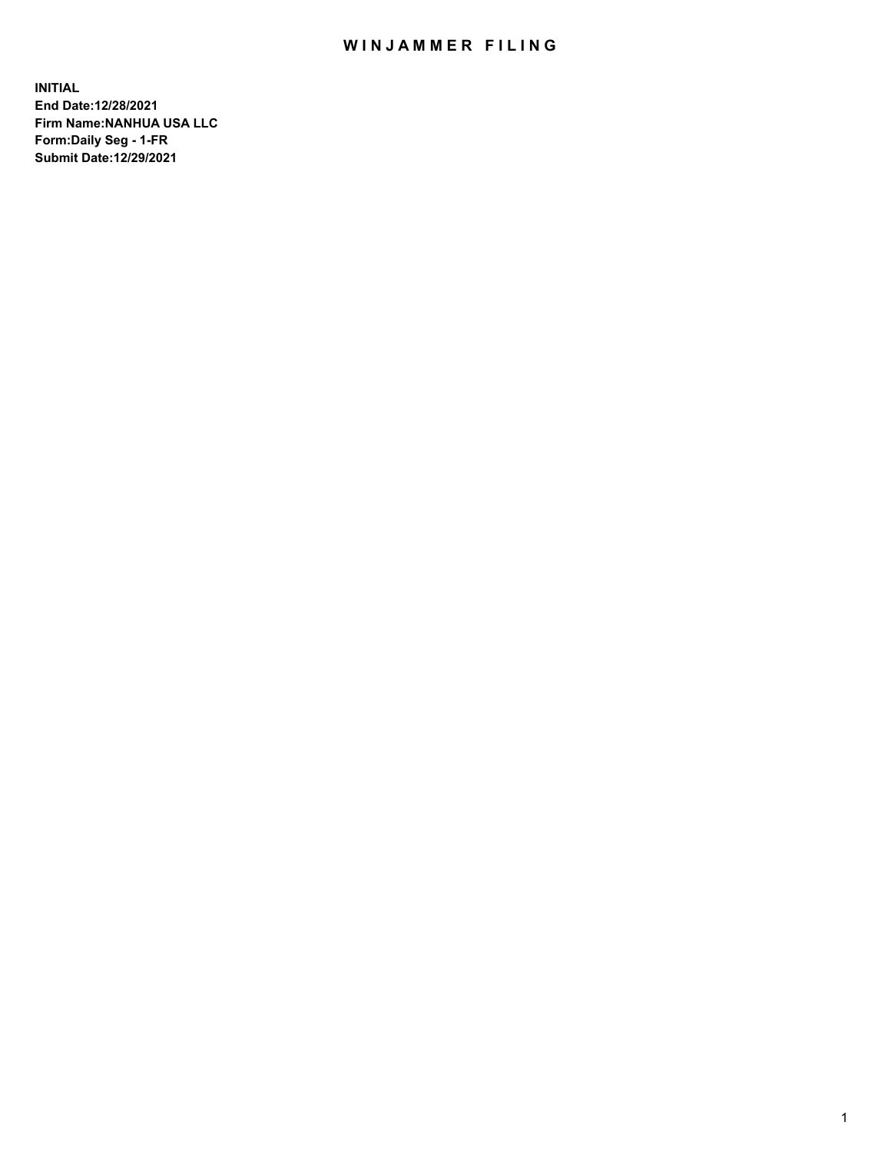## WIN JAMMER FILING

**INITIAL End Date:12/28/2021 Firm Name:NANHUA USA LLC Form:Daily Seg - 1-FR Submit Date:12/29/2021**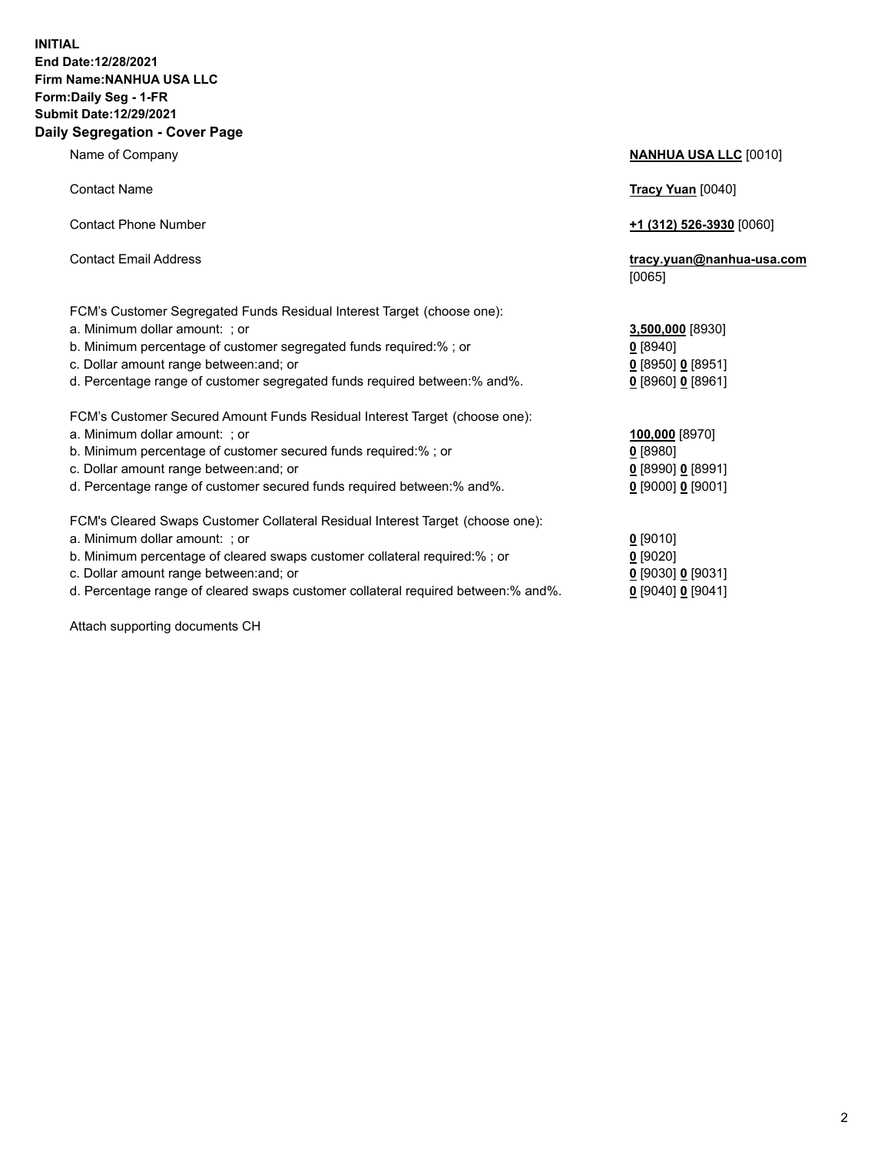## **INITIAL End Date:12/28/2021 Firm Name:NANHUA USA LLC Form:Daily Seg - 1-FR Submit Date:12/29/2021 Daily Segregation - Cover Page**

Name of Company **NANHUA USA LLC** [0010] Contact Name **Tracy Yuan** [0040] Contact Phone Number **+1 (312) 526-3930** [0060] Contact Email Address **tracy.yuan@nanhua-usa.com** [0065] FCM's Customer Segregated Funds Residual Interest Target (choose one): a. Minimum dollar amount: ; or **3,500,000** [8930] b. Minimum percentage of customer segregated funds required:% ; or **0** [8940] c. Dollar amount range between:and; or **0** [8950] **0** [8951] d. Percentage range of customer segregated funds required between:% and%. **0** [8960] **0** [8961] FCM's Customer Secured Amount Funds Residual Interest Target (choose one): a. Minimum dollar amount: ; or **100,000** [8970] b. Minimum percentage of customer secured funds required:% ; or **0** [8980] c. Dollar amount range between:and; or **0** [8990] **0** [8991] d. Percentage range of customer secured funds required between:% and%. **0** [9000] **0** [9001] FCM's Cleared Swaps Customer Collateral Residual Interest Target (choose one): a. Minimum dollar amount: ; or **0** [9010] b. Minimum percentage of cleared swaps customer collateral required:% ; or **0** [9020] c. Dollar amount range between:and; or **0** [9030] **0** [9031]

d. Percentage range of cleared swaps customer collateral required between:% and%. **0** [9040] **0** [9041]

Attach supporting documents CH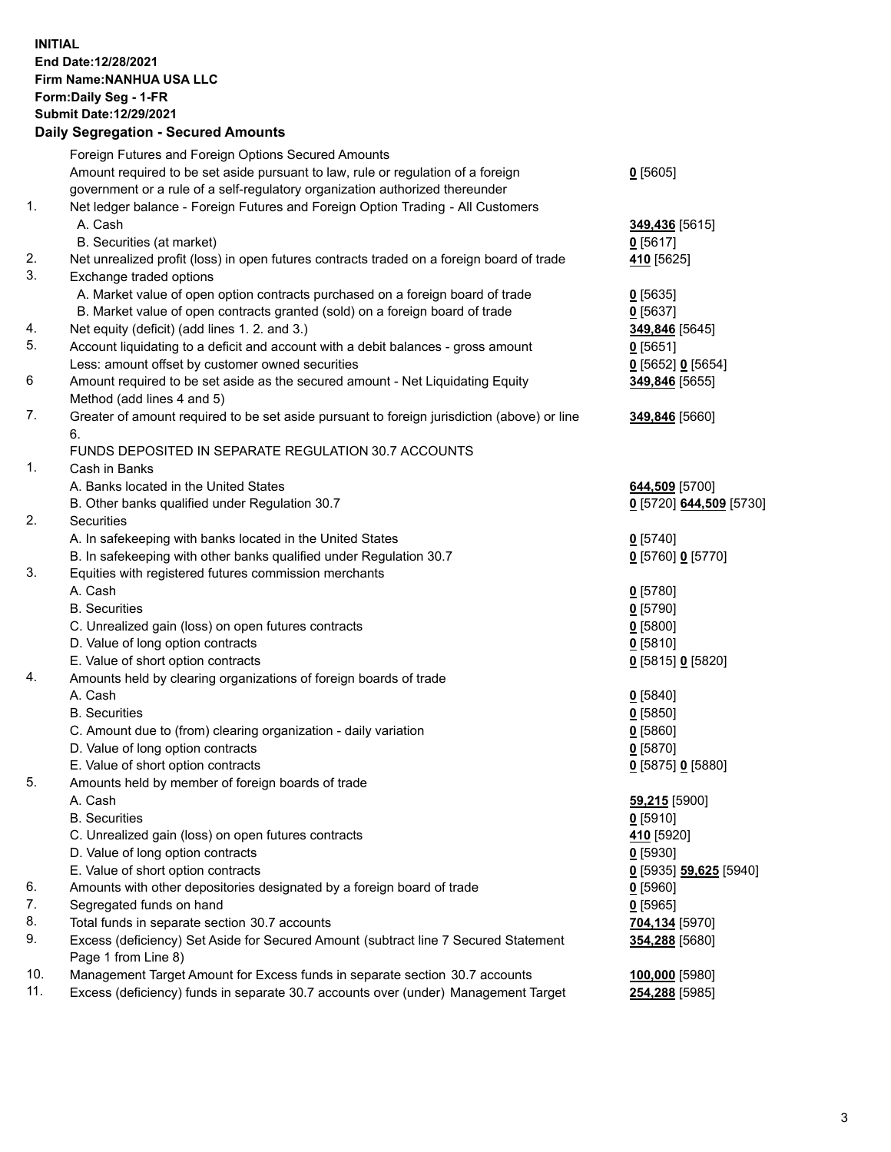**INITIAL End Date:12/28/2021 Firm Name:NANHUA USA LLC Form:Daily Seg - 1-FR Submit Date:12/29/2021**

## **Daily Segregation - Secured Amounts**

|     | Foreign Futures and Foreign Options Secured Amounts                                                        |                         |
|-----|------------------------------------------------------------------------------------------------------------|-------------------------|
|     | Amount required to be set aside pursuant to law, rule or regulation of a foreign                           | $0$ [5605]              |
|     | government or a rule of a self-regulatory organization authorized thereunder                               |                         |
| 1.  | Net ledger balance - Foreign Futures and Foreign Option Trading - All Customers                            |                         |
|     | A. Cash                                                                                                    | 349,436 [5615]          |
|     | B. Securities (at market)                                                                                  | $0$ [5617]              |
| 2.  | Net unrealized profit (loss) in open futures contracts traded on a foreign board of trade                  | 410 <sub>[5625]</sub>   |
| 3.  | Exchange traded options                                                                                    |                         |
|     | A. Market value of open option contracts purchased on a foreign board of trade                             | $0$ [5635]              |
|     | B. Market value of open contracts granted (sold) on a foreign board of trade                               | $0$ [5637]              |
| 4.  | Net equity (deficit) (add lines 1. 2. and 3.)                                                              | 349,846 [5645]          |
| 5.  | Account liquidating to a deficit and account with a debit balances - gross amount                          | $0$ [5651]              |
|     | Less: amount offset by customer owned securities                                                           | 0 [5652] 0 [5654]       |
| 6   | Amount required to be set aside as the secured amount - Net Liquidating Equity                             | 349,846 [5655]          |
|     | Method (add lines 4 and 5)                                                                                 |                         |
| 7.  | Greater of amount required to be set aside pursuant to foreign jurisdiction (above) or line                | 349,846 [5660]          |
|     | 6.<br>FUNDS DEPOSITED IN SEPARATE REGULATION 30.7 ACCOUNTS                                                 |                         |
| 1.  | Cash in Banks                                                                                              |                         |
|     | A. Banks located in the United States                                                                      | 644,509 [5700]          |
|     | B. Other banks qualified under Regulation 30.7                                                             | 0 [5720] 644,509 [5730] |
| 2.  | <b>Securities</b>                                                                                          |                         |
|     | A. In safekeeping with banks located in the United States                                                  | $0$ [5740]              |
|     | B. In safekeeping with other banks qualified under Regulation 30.7                                         | 0 [5760] 0 [5770]       |
| 3.  | Equities with registered futures commission merchants                                                      |                         |
|     | A. Cash                                                                                                    | $0$ [5780]              |
|     | <b>B.</b> Securities                                                                                       | $0$ [5790]              |
|     | C. Unrealized gain (loss) on open futures contracts                                                        | $0$ [5800]              |
|     | D. Value of long option contracts                                                                          |                         |
|     |                                                                                                            | $0$ [5810]              |
|     | E. Value of short option contracts                                                                         | 0 [5815] 0 [5820]       |
| 4.  | Amounts held by clearing organizations of foreign boards of trade                                          |                         |
|     | A. Cash                                                                                                    | $0$ [5840]              |
|     | <b>B.</b> Securities                                                                                       | $0$ [5850]              |
|     | C. Amount due to (from) clearing organization - daily variation                                            | $0$ [5860]              |
|     | D. Value of long option contracts                                                                          | $0$ [5870]              |
|     | E. Value of short option contracts                                                                         | 0 [5875] 0 [5880]       |
| 5.  | Amounts held by member of foreign boards of trade                                                          |                         |
|     | A. Cash                                                                                                    | 59,215 [5900]           |
|     | <b>B.</b> Securities                                                                                       | $0$ [5910]              |
|     | C. Unrealized gain (loss) on open futures contracts                                                        | 410 <sub>[5920]</sub>   |
|     | D. Value of long option contracts                                                                          | $0$ [5930]              |
|     | E. Value of short option contracts                                                                         | 0 [5935] 59,625 [5940]  |
| 6.  | Amounts with other depositories designated by a foreign board of trade                                     | $0$ [5960]              |
| 7.  | Segregated funds on hand                                                                                   | $0$ [5965]              |
| 8.  | Total funds in separate section 30.7 accounts                                                              | 704,134 [5970]          |
| 9.  | Excess (deficiency) Set Aside for Secured Amount (subtract line 7 Secured Statement<br>Page 1 from Line 8) | 354,288 [5680]          |
| 10. | Management Target Amount for Excess funds in separate section 30.7 accounts                                |                         |
| 11. | Excess (deficiency) funds in separate 30.7 accounts over (under) Management Target                         | 100,000 [5980]          |
|     |                                                                                                            | <b>254,288</b> [5985]   |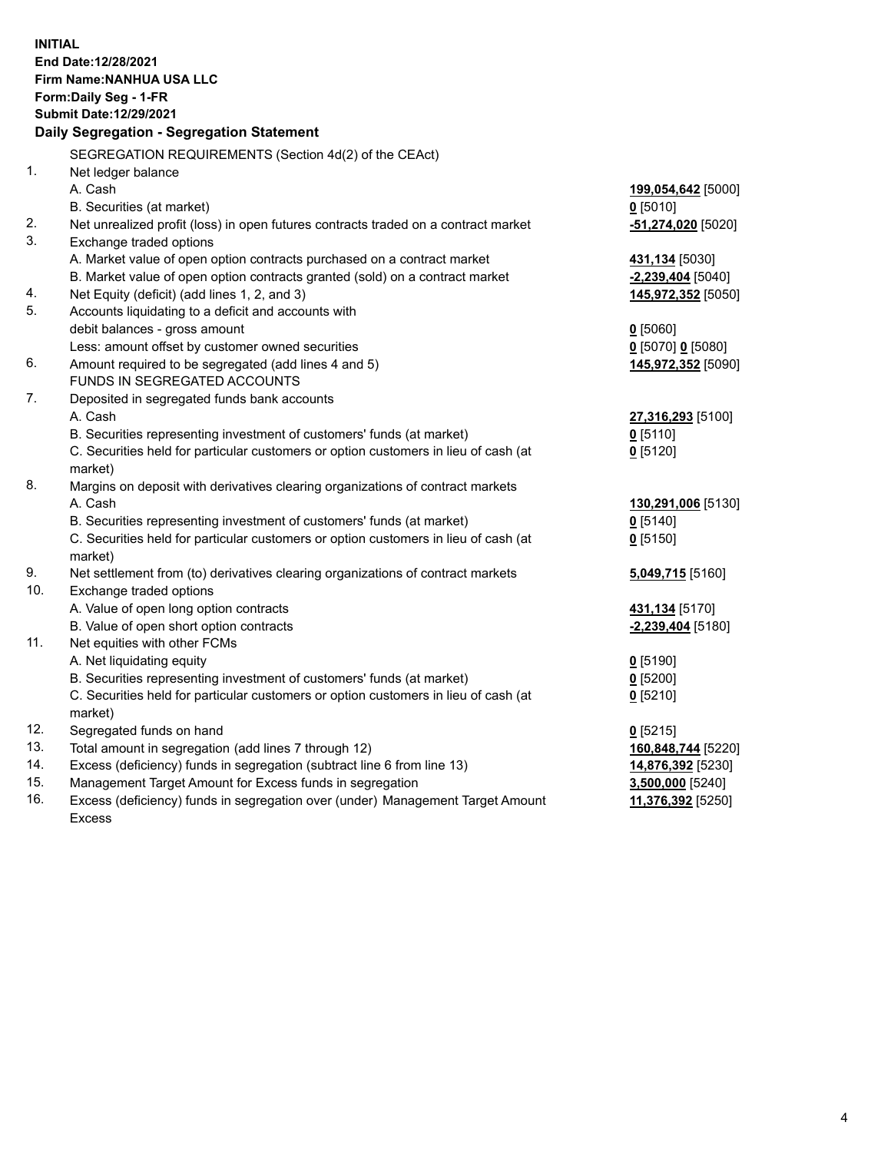**INITIAL End Date:12/28/2021 Firm Name:NANHUA USA LLC Form:Daily Seg - 1-FR Submit Date:12/29/2021 Daily Segregation - Segregation Statement** SEGREGATION REQUIREMENTS (Section 4d(2) of the CEAct) 1. Net ledger balance A. Cash **199,054,642** [5000] B. Securities (at market) **0** [5010] 2. Net unrealized profit (loss) in open futures contracts traded on a contract market **-51,274,020** [5020] 3. Exchange traded options A. Market value of open option contracts purchased on a contract market **431,134** [5030] B. Market value of open option contracts granted (sold) on a contract market **-2,239,404** [5040] 4. Net Equity (deficit) (add lines 1, 2, and 3) **145,972,352** [5050] 5. Accounts liquidating to a deficit and accounts with debit balances - gross amount **0** [5060] Less: amount offset by customer owned securities **0** [5070] **0** [5080] 6. Amount required to be segregated (add lines 4 and 5) **145,972,352** [5090] FUNDS IN SEGREGATED ACCOUNTS 7. Deposited in segregated funds bank accounts A. Cash **27,316,293** [5100] B. Securities representing investment of customers' funds (at market) **0** [5110] C. Securities held for particular customers or option customers in lieu of cash (at market) **0** [5120] 8. Margins on deposit with derivatives clearing organizations of contract markets A. Cash **130,291,006** [5130] B. Securities representing investment of customers' funds (at market) **0** [5140] C. Securities held for particular customers or option customers in lieu of cash (at market) **0** [5150] 9. Net settlement from (to) derivatives clearing organizations of contract markets **5,049,715** [5160] 10. Exchange traded options A. Value of open long option contracts **431,134** [5170] B. Value of open short option contracts **-2,239,404** [5180] 11. Net equities with other FCMs A. Net liquidating equity **0** [5190] B. Securities representing investment of customers' funds (at market) **0** [5200] C. Securities held for particular customers or option customers in lieu of cash (at market) **0** [5210] 12. Segregated funds on hand **0** [5215] 13. Total amount in segregation (add lines 7 through 12) **160,848,744** [5220] 14. Excess (deficiency) funds in segregation (subtract line 6 from line 13) **14,876,392** [5230] 15. Management Target Amount for Excess funds in segregation **3,500,000** [5240] 16. Excess (deficiency) funds in segregation over (under) Management Target Amount Excess **11,376,392** [5250]